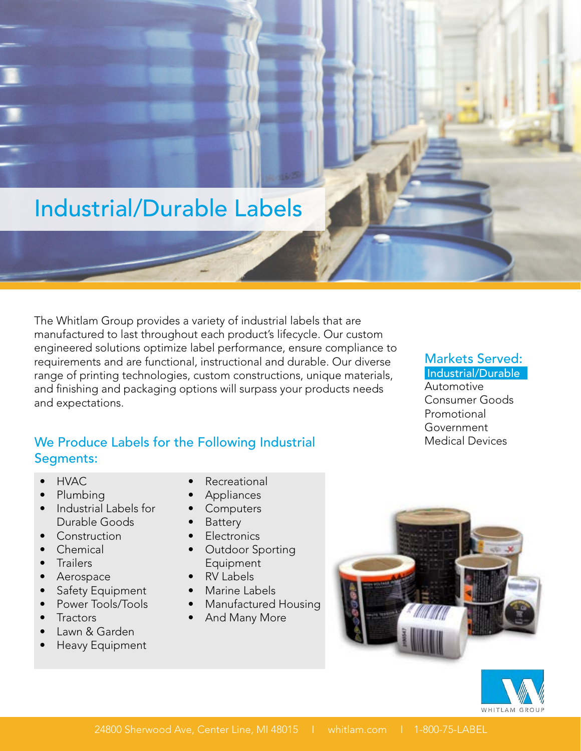# Industrial/Durable Labels

The Whitlam Group provides a variety of industrial labels that are manufactured to last throughout each product's lifecycle. Our custom engineered solutions optimize label performance, ensure compliance to requirements and are functional, instructional and durable. Our diverse range of printing technologies, custom constructions, unique materials, and finishing and packaging options will surpass your products needs and expectations.

#### We Produce Labels for the Following Industrial Segments:

- HVAC
- Plumbing
- Industrial Labels for Durable Goods
- Construction
- Chemical
- Trailers
- Aerospace
- Safety Equipment
- Power Tools/Tools
- Tractors
- Lawn & Garden
- Heavy Equipment
- **Recreational**
- **Appliances**
- **Computers**
- **Battery**
- Electronics
- Outdoor Sporting Equipment
- RV Labels
- Marine Labels
- Manufactured Housing
- And Many More





Markets Served:

## Industrial/Durable

Automotive Consumer Goods Promotional Government Medical Devices